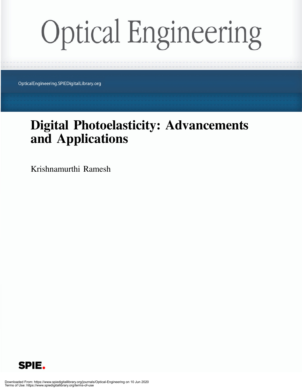## **Optical Engineering**

OpticalEngineering.SPIEDigitalLibrary.org

## Digital Photoelasticity: Advancements and Applications

Krishnamurthi Ramesh

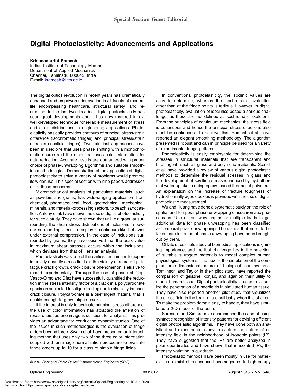## Digital Photoelasticity: Advancements and Applications

Krishnamurthi Ramesh Indian Institute of Technology Madras Department of Applied Mechanics Chennai, Tamilnadu 600042, India E-mail: [kramesh@iitm.a](mailto:)[c.in](mailto:kramesh@iitm.ac.in)

The digital optics revolution in recent years has dramatically enhanced and empowered innovation in all facets of modern life encompassing healthcare, structural safety, and recreation. In the last two decades, digital photoelasticity has seen great developments and it has now matured into a well-developed technique for reliable measurement of stress and strain distributions in engineering applications. Photoelasticity basically provides contours of principal stress/strain difference (isochromatic fringes) and principal stress/strain direction (isoclinic fringes). Two principal approaches have been in use: one that uses phase shifting with a monochromatic source and the other that uses color information for data reduction. Accurate results are guaranteed with proper choice of phase-unwrapping algorithms and suitable smoothing methodologies. Demonstration of the application of digital photoelasticity to solve a variety of problems would promote its wider use. This special section with nine papers addresses all of these concerns.

Micromechanical analysis of particulate materials, such as powders and grains, has wide-ranging application, from chemical, pharmaceutical, food, geotechnical, mechanical, minerals, and material-processing sectors, to beach sandcastles. Antony et al. have shown the use of digital photoelasticity for such a study. They have shown that unlike a granular surrounding, the shear stress distributions of inclusions in powder surroundings tend to display a continuum-like behavior under external compression. In the case of inclusions surrounded by grains, they have observed that the peak value in maximum shear stresses occurs within the inclusions, which deviates from that of Hertzian analysis.

Photoelasticity was one of the earliest techniques to experimentally quantify stress fields in the vicinity of a crack-tip. In fatigue crack growth, crack closure phenomenon is elusive to record experimentally. Through the use of phase shifting, Vasco-Olmo and Díaz have successfully quantified the reduction in the stress intensity factor of a crack in a polycarbonate specimen subjected to fatigue loading due to plasticity-induced crack closure. Polycarbonate is a birefringent material that is ductile enough to grow fatigue cracks.

If the interest is only to evaluate principal stress difference, the use of color information has attracted the attention of researchers, as one image is sufficient for analysis. This provides an advantage for conducting dynamic studies. One of the issues in such methodologies is the evaluation of fringe orders beyond three. Swain et al. have presented an interesting method that uses only two of the three color information coupled with an image normalization procedure to evaluate fringe orders up to 10 for a class of simple fringe fields.

In conventional photoelasticity, the isoclinic values are easy to determine, whereas the isochromatic evaluation other than at the fringe points is tedious. However, in digital photoelasticity, evaluation of isoclinics posed a serious challenge, as these are not defined at isochromatic skeletons. From the principles of continuum mechanics, the stress field is continuous and hence the principal stress directions also must be continuous. To achieve this, Ramesh et al. have reported an elegant smoothing methodology. The algorithm presented is robust and can in principle be used for a variety of experimental fringe patterns.

Photoelasticity is easily employable for determining the stresses in structural materials that are transparent and birefringent, such as glass and polymeric materials. Scafidi et al. have provided a review of various digital photoelastic methods to determine the residual stresses in glass and the development of swelling stresses induced by hydrothermal water uptake in aging epoxy–based thermoset polymers. An explanation on the increase of fracture toughness of hydrothermally aged epoxies is provided with the use of digital photoelastic measurement.

Wu and Huang have done a systematic study on the role of spatial and temporal phase unwrapping of isochromatic phasemaps. Use of multiwavelengths or multiple loads to get additional data for phase unwrapping has been classified as temporal phase unwrapping. The issues that need to be taken care in temporal phase unwrapping have been brought out by them.

Of late stress field study of biomedical applications is gaining importance, and the first challenge lies in the selection of suitable surrogate materials to model complex human physiological systems. The next is the simulation of the complex three-dimensional nature of biological load systems. Tomlinson and Taylor in their pilot study have reported the comparison of gelatine, konjac, and agar on their utility to model human tissue. Digital photoelasticity is used to visualize the penetration of a needle tip in simulated human tissue. They have also reported another pilot study that visualizes the stress field in the brain of a small baby when it is shaken. To make the problem domain easy to handle, they have simulated a 2-D model of the brain.

Surendra and Simha have championed the case of using syntactic recognition of intensity patterns for devising efficient digital photoelastic algorithms. They have done both an analytical and experimental study to capture the nature of an intensity field in the neighborhood of isotropic points (IP). They have suggested that the IPs are better analyzed in polar coordinates and have shown that in isolated IPs, the intensity variation is quadratic.

Photoelastic methods have been mostly in use for materi- © 2015 Society of Photo-Optical Instrumentation Engineers (SPIE) als that exhibit stress-induced birefringence. In high-energy